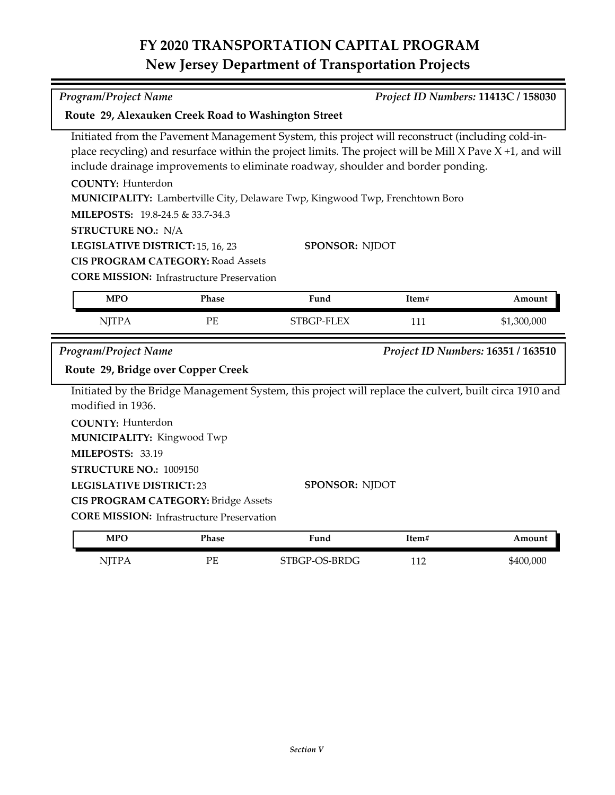## **FY 2020 TRANSPORTATION CAPITAL PROGRAM New Jersey Department of Transportation Projects**

| Program/Project Name                                                                                                                                                                                                                                                                                                                                                                                                                                                                                                                                                                  |                                                                                                |                                                                                                                                 |       | Project ID Numbers: 11413C / 158030 |
|---------------------------------------------------------------------------------------------------------------------------------------------------------------------------------------------------------------------------------------------------------------------------------------------------------------------------------------------------------------------------------------------------------------------------------------------------------------------------------------------------------------------------------------------------------------------------------------|------------------------------------------------------------------------------------------------|---------------------------------------------------------------------------------------------------------------------------------|-------|-------------------------------------|
| Route 29, Alexauken Creek Road to Washington Street                                                                                                                                                                                                                                                                                                                                                                                                                                                                                                                                   |                                                                                                |                                                                                                                                 |       |                                     |
| Initiated from the Pavement Management System, this project will reconstruct (including cold-in-<br>place recycling) and resurface within the project limits. The project will be Mill $X$ Pave $X + 1$ , and will<br>include drainage improvements to eliminate roadway, shoulder and border ponding.<br><b>COUNTY: Hunterdon</b><br>MUNICIPALITY: Lambertville City, Delaware Twp, Kingwood Twp, Frenchtown Boro<br>MILEPOSTS: 19.8-24.5 & 33.7-34.3<br><b>STRUCTURE NO.: N/A</b><br>SPONSOR: NJDOT<br>LEGISLATIVE DISTRICT: 15, 16, 23<br><b>CIS PROGRAM CATEGORY: Road Assets</b> |                                                                                                |                                                                                                                                 |       |                                     |
|                                                                                                                                                                                                                                                                                                                                                                                                                                                                                                                                                                                       | <b>CORE MISSION:</b> Infrastructure Preservation                                               |                                                                                                                                 |       |                                     |
| <b>MPO</b>                                                                                                                                                                                                                                                                                                                                                                                                                                                                                                                                                                            | Phase                                                                                          | Fund                                                                                                                            | Item# | Amount                              |
| <b>NJTPA</b>                                                                                                                                                                                                                                                                                                                                                                                                                                                                                                                                                                          | PE                                                                                             | STBGP-FLEX                                                                                                                      | 111   | \$1,300,000                         |
| Program/Project Name<br>Project ID Numbers: 16351 / 163510<br>Route 29, Bridge over Copper Creek                                                                                                                                                                                                                                                                                                                                                                                                                                                                                      |                                                                                                |                                                                                                                                 |       |                                     |
| modified in 1936.<br><b>COUNTY: Hunterdon</b><br>MUNICIPALITY: Kingwood Twp<br>MILEPOSTS: 33.19<br>STRUCTURE NO.: 1009150<br><b>LEGISLATIVE DISTRICT:23</b>                                                                                                                                                                                                                                                                                                                                                                                                                           | <b>CIS PROGRAM CATEGORY: Bridge Assets</b><br><b>CORE MISSION:</b> Infrastructure Preservation | Initiated by the Bridge Management System, this project will replace the culvert, built circa 1910 and<br><b>SPONSOR: NJDOT</b> |       |                                     |
| <b>MPO</b>                                                                                                                                                                                                                                                                                                                                                                                                                                                                                                                                                                            | Phase                                                                                          | Fund                                                                                                                            | Item# | Amount                              |

NJTPA PE STBGP-OS-BRDG 112 \$400,000